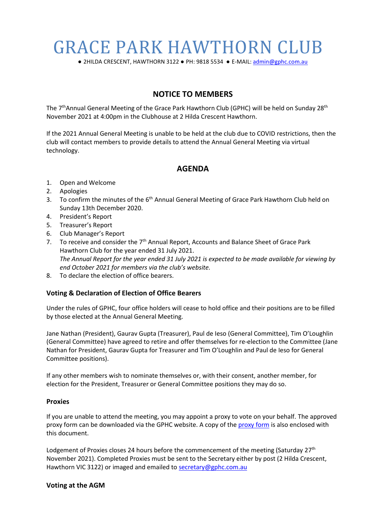# GRACE PARK HAWTHORN CLUB

**●** 2HILDA CRESCENT, HAWTHORN 3122 **●** PH: 9818 5534 **●** E-MAIL: [admin@gphc.com.au](mailto:gracepark@graceparkltc.com)

## **NOTICE TO MEMBERS**

The 7<sup>th</sup>Annual General Meeting of the Grace Park Hawthorn Club (GPHC) will be held on Sunday 28<sup>th</sup> November 2021 at 4:00pm in the Clubhouse at 2 Hilda Crescent Hawthorn.

If the 2021 Annual General Meeting is unable to be held at the club due to COVID restrictions, then the club will contact members to provide details to attend the Annual General Meeting via virtual technology.

## **AGENDA**

- 1. Open and Welcome
- 2. Apologies
- 3. To confirm the minutes of the 6<sup>th</sup> Annual General Meeting of Grace Park Hawthorn Club held on Sunday 13th December 2020.
- 4. President's Report
- 5. Treasurer's Report
- 6. Club Manager's Report
- 7. To receive and consider the 7<sup>th</sup> Annual Report, Accounts and Balance Sheet of Grace Park Hawthorn Club for the year ended 31 July 2021. *The Annual Report for the year ended 31 July 2021 is expected to be made available for viewing by end October 2021 for members via the club's website.*
- 8. To declare the election of office bearers.

### **Voting & Declaration of Election of Office Bearers**

Under the rules of GPHC, four office holders will cease to hold office and their positions are to be filled by those elected at the Annual General Meeting.

Jane Nathan (President), Gaurav Gupta (Treasurer), Paul de Ieso (General Committee), Tim O'Loughlin (General Committee) have agreed to retire and offer themselves for re-election to the Committee (Jane Nathan for President, Gaurav Gupta for Treasurer and Tim O'Loughlin and Paul de Ieso for General Committee positions).

If any other members wish to nominate themselves or, with their consent, another member, for election for the President, Treasurer or General Committee positions they may do so.

#### **Proxies**

If you are unable to attend the meeting, you may appoint a proxy to vote on your behalf. [The approved](http://www.melbournephoto.org.au/sites/default/files/Proxy%20Form%20v2.pdf)  [proxy form can be downloaded via the GPHC website.](http://www.melbournephoto.org.au/sites/default/files/Proxy%20Form%20v2.pdf) A copy of the [proxy form](https://9ef35850-a6e0-457a-8079-15ee3b5fd002.filesusr.com/ugd/2a0a01_aa2a524c4e81443b811073d75275d2f8.pdf) is also enclosed with this document.

Lodgement of Proxies closes 24 hours before the commencement of the meeting (Saturday  $27<sup>th</sup>$ November 2021). Completed Proxies must be sent to the Secretary either by post (2 Hilda Crescent, Hawthorn VIC 3122) or imaged and emailed to [secretary@gphc.com.au](mailto:secretary@gphc.com.au)

### **Voting at the AGM**